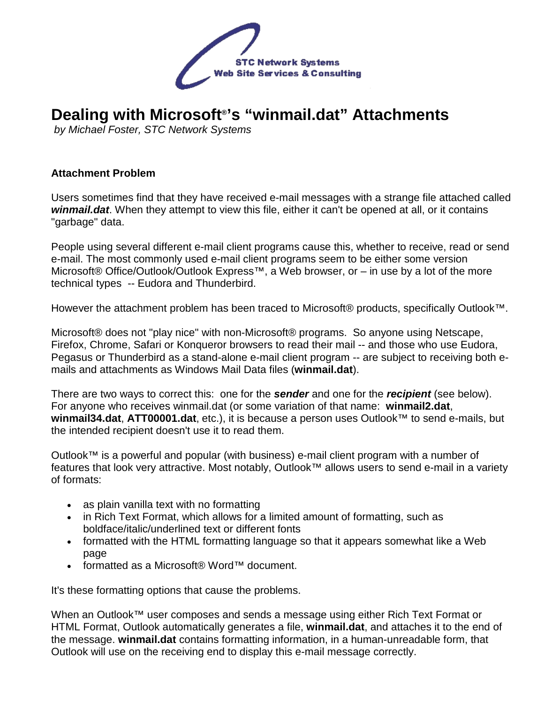

# **Dealing with Microsoft® 's "winmail.dat" Attachments**

by Michael Foster, STC Network Systems

#### **Attachment Problem**

Users sometimes find that they have received e-mail messages with a strange file attached called **winmail.dat**. When they attempt to view this file, either it can't be opened at all, or it contains "garbage" data.

People using several different e-mail client programs cause this, whether to receive, read or send e-mail. The most commonly used e-mail client programs seem to be either some version Microsoft® Office/Outlook/Outlook Express™, a Web browser, or – in use by a lot of the more technical types -- Eudora and Thunderbird.

However the attachment problem has been traced to Microsoft® products, specifically Outlook™.

Microsoft® does not "play nice" with non-Microsoft® programs. So anyone using Netscape, Firefox, Chrome, Safari or Konqueror browsers to read their mail -- and those who use Eudora, Pegasus or Thunderbird as a stand-alone e-mail client program -- are subject to receiving both emails and attachments as Windows Mail Data files (**winmail.dat**).

There are two ways to correct this: one for the **sender** and one for the **recipient** (see below). For anyone who receives winmail.dat (or some variation of that name: **winmail2.dat**, **winmail34.dat**, **ATT00001.dat**, etc.), it is because a person uses Outlook™ to send e-mails, but the intended recipient doesn't use it to read them.

Outlook™ is a powerful and popular (with business) e-mail client program with a number of features that look very attractive. Most notably, Outlook™ allows users to send e-mail in a variety of formats:

- as plain vanilla text with no formatting
- in Rich Text Format, which allows for a limited amount of formatting, such as boldface/italic/underlined text or different fonts
- formatted with the HTML formatting language so that it appears somewhat like a Web page
- formatted as a Microsoft® Word™ document.

It's these formatting options that cause the problems.

When an Outlook™ user composes and sends a message using either Rich Text Format or HTML Format, Outlook automatically generates a file, **winmail.dat**, and attaches it to the end of the message. **winmail.dat** contains formatting information, in a human-unreadable form, that Outlook will use on the receiving end to display this e-mail message correctly.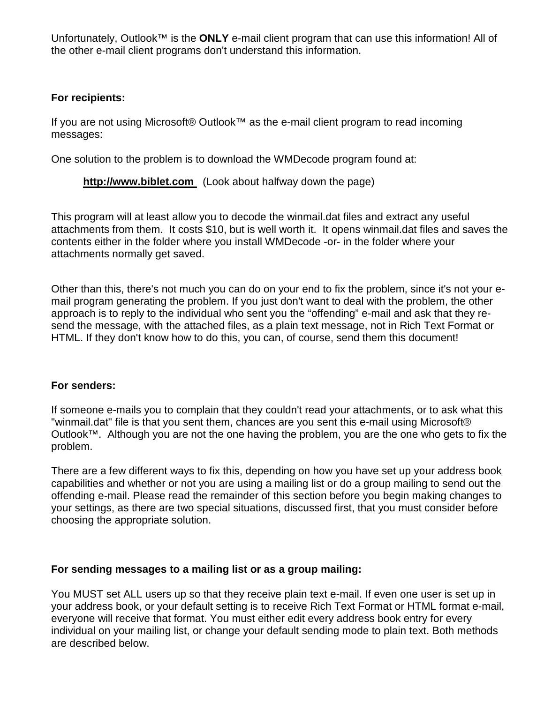Unfortunately, Outlook™ is the **ONLY** e-mail client program that can use this information! All of the other e-mail client programs don't understand this information.

#### **For recipients:**

If you are not using Microsoft® Outlook™ as the e-mail client program to read incoming messages:

One solution to the problem is to download the WMDecode program found at:

**http://www.biblet.com** (Look about halfway down the page)

This program will at least allow you to decode the winmail.dat files and extract any useful attachments from them. It costs \$10, but is well worth it. It opens winmail.dat files and saves the contents either in the folder where you install WMDecode -or- in the folder where your attachments normally get saved.

Other than this, there's not much you can do on your end to fix the problem, since it's not your email program generating the problem. If you just don't want to deal with the problem, the other approach is to reply to the individual who sent you the "offending" e-mail and ask that they resend the message, with the attached files, as a plain text message, not in Rich Text Format or HTML. If they don't know how to do this, you can, of course, send them this document!

#### **For senders:**

If someone e-mails you to complain that they couldn't read your attachments, or to ask what this "winmail.dat" file is that you sent them, chances are you sent this e-mail using Microsoft® Outlook™. Although you are not the one having the problem, you are the one who gets to fix the problem.

There are a few different ways to fix this, depending on how you have set up your address book capabilities and whether or not you are using a mailing list or do a group mailing to send out the offending e-mail. Please read the remainder of this section before you begin making changes to your settings, as there are two special situations, discussed first, that you must consider before choosing the appropriate solution.

### **For sending messages to a mailing list or as a group mailing:**

You MUST set ALL users up so that they receive plain text e-mail. If even one user is set up in your address book, or your default setting is to receive Rich Text Format or HTML format e-mail, everyone will receive that format. You must either edit every address book entry for every individual on your mailing list, or change your default sending mode to plain text. Both methods are described below.